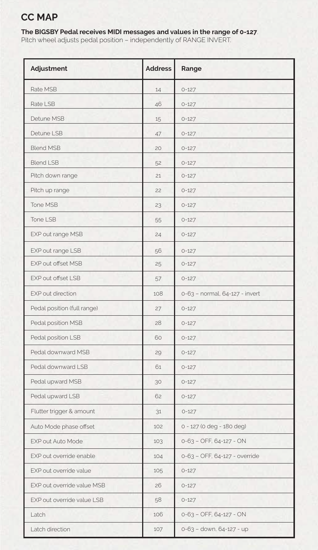## **CC MAP**

## **The BIGSBY Pedal receives MIDI messages and values in the range of 0-127**.

Pitch wheel adjusts pedal position – independently of RANGE INVERT.

| Adjustment                  | <b>Address</b> | Range                          |
|-----------------------------|----------------|--------------------------------|
| Rate MSB                    | 14             | $0 - 127$                      |
| Rate LSB                    | 46             | $0 - 127$                      |
| Detune MSB                  | 15             | $0 - 127$                      |
| Detune LSB                  | 47             | $0 - 127$                      |
| <b>Blend MSB</b>            | 20             | $0 - 127$                      |
| <b>Blend LSB</b>            | 52             | $0 - 127$                      |
| Pitch down range            | 21             | $0 - 127$                      |
| Pitch up range              | 22             | $0 - 127$                      |
| Tone MSB                    | 23             | $0 - 127$                      |
| Tone LSB                    | 55             | $0 - 127$                      |
| EXP out range MSB           | 24             | $0 - 127$                      |
| EXP out range LSB           | 56             | $0 - 127$                      |
| EXP out offset MSB          | 25             | $0 - 127$                      |
| EXP out offset LSB          | 57             | $0 - 127$                      |
| EXP out direction           | 108            | 0-63 - normal, 64-127 - invert |
| Pedal position (full range) | 27             | $0 - 127$                      |
| Pedal position MSB          | 28             | $0 - 127$                      |
| Pedal position LSB          | 60             | $0 - 127$                      |
| Pedal downward MSB          | 29             | $0 - 127$                      |
| Pedal downward LSB          | 61             | $0 - 127$                      |
| Pedal upward MSB            | 30             | $0 - 127$                      |
| Pedal upward LSB            | 62             | $0 - 127$                      |
| Flutter trigger & amount    | 31             | $0 - 127$                      |
| Auto Mode phase offset      | 102            | 0 - 127 (0 deg - 180 deg)      |
| EXP out Auto Mode           | 103            | 0-63 - OFF, 64-127 - ON        |
| EXP out override enable     | 104            | 0-63 - OFF, 64-127 - override  |
| EXP out override value      | 105            | $0 - 127$                      |
| EXP out override value MSB  | 26             | $0 - 127$                      |
| EXP out override value LSB  | 58             | $0 - 127$                      |
| Latch                       | 106            | 0-63 - OFF, 64-127 - ON        |
| Latch direction             | 107            | 0-63 - down, 64-127 - up       |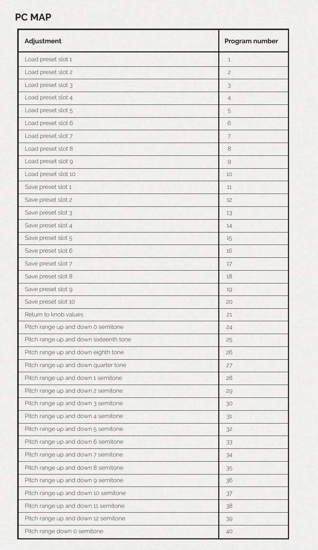## **PC MAP**

| Adjustment                             | Program number |
|----------------------------------------|----------------|
| Load preset slot 1                     | $\mathbf{1}$   |
| Load preset slot 2                     | $\overline{c}$ |
| Load preset slot 3                     | 3              |
| Load preset slot 4                     | 4              |
| Load preset slot 5                     | 5              |
| Load preset slot 6                     | 6              |
| Load preset slot 7                     | 7              |
| Load preset slot 8                     | 8              |
| Load preset slot 9                     | 9              |
| Load preset slot 10                    | 10             |
| Save preset slot 1                     | 11             |
| Save preset slot 2                     | 12             |
| Save preset slot 3                     | 13             |
| Save preset slot 4                     | 14             |
| Save preset slot 5                     | 15             |
| Save preset slot 6                     | 16             |
| Save preset slot 7                     | 17             |
| Save preset slot 8                     | 18             |
| Save preset slot 9                     | 19             |
| Save preset slot 10                    | 20             |
| Return to knob values                  | 21             |
| Pitch range up and down 0 semitone     | 24             |
| Pitch range up and down sixteenth tone | 25             |
| Pitch range up and down eighth tone    | 26             |
| Pitch range up and down quarter tone   | 27             |
| Pitch range up and down 1 semitone     | 28             |
| Pitch range up and down 2 semitone     | 29             |
| Pitch range up and down 3 semitone     | 30             |
| Pitch range up and down 4 semitone     | 31             |
| Pitch range up and down 5 semitone     | 32             |
| Pitch range up and down 6 semitone     | 33             |
| Pitch range up and down 7 semitone     | 34             |
| Pitch range up and down 8 semitone     | 35             |
| Pitch range up and down 9 semitone     | 36             |
| Pitch range up and down 10 semitone    | 37             |
| Pitch range up and down 11 semitone    | 38             |
| Pitch range up and down 12 semitone    | 39             |
| Pitch range down 0 semitone            | 40             |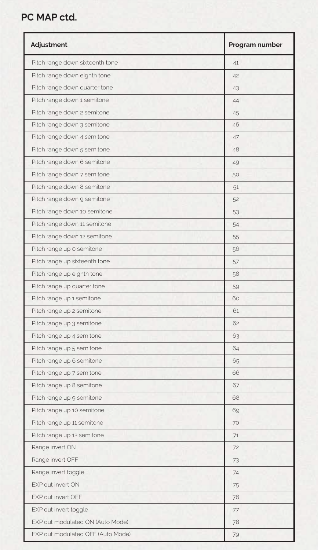## **PC MAP ctd.**

| Adjustment                        | Program number |
|-----------------------------------|----------------|
| Pitch range down sixteenth tone   | 41             |
| Pitch range down eighth tone      | 42             |
| Pitch range down quarter tone     | 43             |
| Pitch range down 1 semitone       | 44             |
| Pitch range down 2 semitone       | 45             |
| Pitch range down 3 semitone       | 46             |
| Pitch range down 4 semitone       | 47             |
| Pitch range down 5 semitone       | 48             |
| Pitch range down 6 semitone       | 49             |
| Pitch range down 7 semitone       | 50             |
| Pitch range down 8 semitone       | 51             |
| Pitch range down 9 semitone       | 52             |
| Pitch range down 10 semitone      | 53             |
| Pitch range down 11 semitone      | 54             |
| Pitch range down 12 semitone      | 55             |
| Pitch range up 0 semitone         | 56             |
| Pitch range up sixteenth tone     | 57             |
| Pitch range up eighth tone        | 58             |
| Pitch range up quarter tone       | 59             |
| Pitch range up 1 semitone         | 60             |
| Pitch range up 2 semitone         | 61             |
| Pitch range up 3 semitone         | 62             |
| Pitch range up 4 semitone         | 63             |
| Pitch range up 5 semitone         | 64             |
| Pitch range up 6 semitone         | 65             |
| Pitch range up 7 semitone         | 66             |
| Pitch range up 8 semitone         | 67             |
| Pitch range up 9 semitone         | 68             |
| Pitch range up 10 semitone        | 69             |
| Pitch range up 11 semitone        | 70             |
| Pitch range up 12 semitone        | 71             |
| Range invert ON                   | 72             |
| Range invert OFF                  | 73             |
| Range invert toggle               | 74             |
| EXP out invert ON                 | 75             |
| EXP out invert OFF                | 76             |
| EXP out invert toggle             | 77             |
| EXP out modulated ON (Auto Mode)  | 78             |
| EXP out modulated OFF (Auto Mode) | 79             |